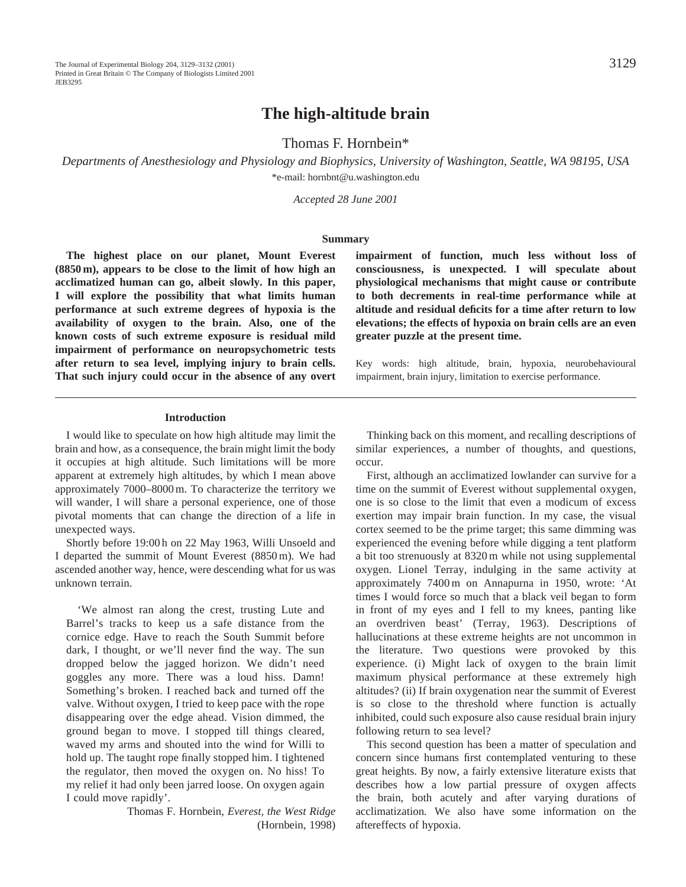# **The high-altitude brain**

Thomas F. Hornbein\*

*Departments of Anesthesiology and Physiology and Biophysics, University of Washington, Seattle, WA 98195, USA* \*e-mail: hornbnt@u.washington.edu

*Accepted 28 June 2001*

#### **Summary**

**The highest place on our planet, Mount Everest (8850 m), appears to be close to the limit of how high an acclimatized human can go, albeit slowly. In this paper, I will explore the possibility that what limits human performance at such extreme degrees of hypoxia is the availability of oxygen to the brain. Also, one of the known costs of such extreme exposure is residual mild impairment of performance on neuropsychometric tests after return to sea level, implying injury to brain cells. That such injury could occur in the absence of any overt** **impairment of function, much less without loss of consciousness, is unexpected. I will speculate about physiological mechanisms that might cause or contribute to both decrements in real-time performance while at altitude and residual deficits for a time after return to low elevations; the effects of hypoxia on brain cells are an even greater puzzle at the present time.**

Key words: high altitude, brain, hypoxia, neurobehavioural impairment, brain injury, limitation to exercise performance.

#### **Introduction**

I would like to speculate on how high altitude may limit the brain and how, as a consequence, the brain might limit the body it occupies at high altitude. Such limitations will be more apparent at extremely high altitudes, by which I mean above approximately 7000–8000 m. To characterize the territory we will wander, I will share a personal experience, one of those pivotal moments that can change the direction of a life in unexpected ways.

Shortly before 19:00 h on 22 May 1963, Willi Unsoeld and I departed the summit of Mount Everest (8850 m). We had ascended another way, hence, were descending what for us was unknown terrain.

'We almost ran along the crest, trusting Lute and Barrel's tracks to keep us a safe distance from the cornice edge. Have to reach the South Summit before dark, I thought, or we'll never find the way. The sun dropped below the jagged horizon. We didn't need goggles any more. There was a loud hiss. Damn! Something's broken. I reached back and turned off the valve. Without oxygen, I tried to keep pace with the rope disappearing over the edge ahead. Vision dimmed, the ground began to move. I stopped till things cleared, waved my arms and shouted into the wind for Willi to hold up. The taught rope finally stopped him. I tightened the regulator, then moved the oxygen on. No hiss! To my relief it had only been jarred loose. On oxygen again I could move rapidly'.

Thomas F. Hornbein, *Everest, the West Ridge* (Hornbein, 1998)

Thinking back on this moment, and recalling descriptions of similar experiences, a number of thoughts, and questions, occur.

First, although an acclimatized lowlander can survive for a time on the summit of Everest without supplemental oxygen, one is so close to the limit that even a modicum of excess exertion may impair brain function. In my case, the visual cortex seemed to be the prime target; this same dimming was experienced the evening before while digging a tent platform a bit too strenuously at 8320 m while not using supplemental oxygen. Lionel Terray, indulging in the same activity at approximately 7400 m on Annapurna in 1950, wrote: 'At times I would force so much that a black veil began to form in front of my eyes and I fell to my knees, panting like an overdriven beast' (Terray, 1963). Descriptions of hallucinations at these extreme heights are not uncommon in the literature. Two questions were provoked by this experience. (i) Might lack of oxygen to the brain limit maximum physical performance at these extremely high altitudes? (ii) If brain oxygenation near the summit of Everest is so close to the threshold where function is actually inhibited, could such exposure also cause residual brain injury following return to sea level?

This second question has been a matter of speculation and concern since humans first contemplated venturing to these great heights. By now, a fairly extensive literature exists that describes how a low partial pressure of oxygen affects the brain, both acutely and after varying durations of acclimatization. We also have some information on the aftereffects of hypoxia.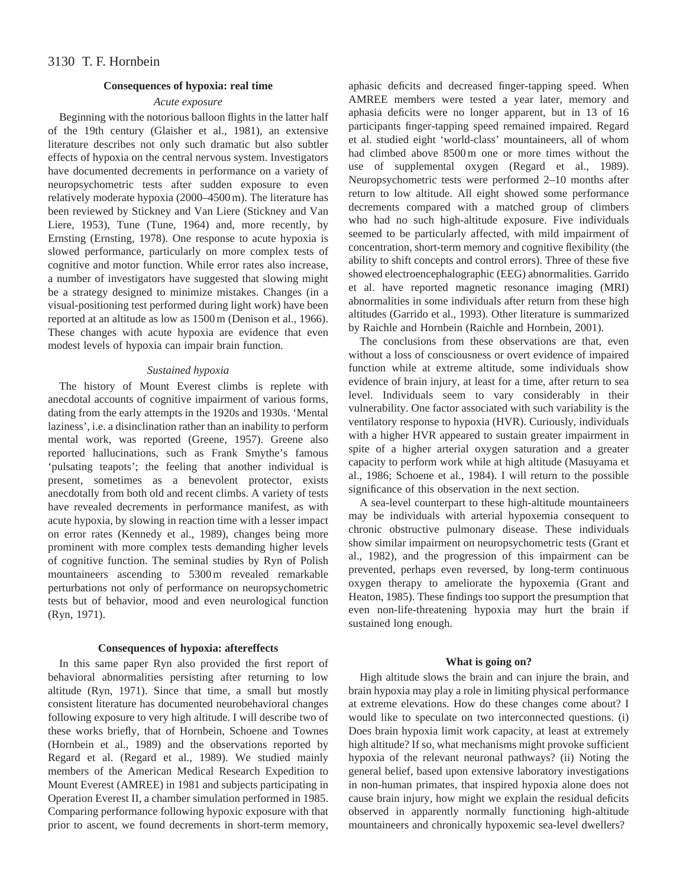## **Consequences of hypoxia: real time**

# *Acute exposure*

Beginning with the notorious balloon flights in the latter half of the 19th century (Glaisher et al., 1981), an extensive literature describes not only such dramatic but also subtler effects of hypoxia on the central nervous system. Investigators have documented decrements in performance on a variety of neuropsychometric tests after sudden exposure to even relatively moderate hypoxia (2000–4500 m). The literature has been reviewed by Stickney and Van Liere (Stickney and Van Liere, 1953), Tune (Tune, 1964) and, more recently, by Ernsting (Ernsting, 1978). One response to acute hypoxia is slowed performance, particularly on more complex tests of cognitive and motor function. While error rates also increase, a number of investigators have suggested that slowing might be a strategy designed to minimize mistakes. Changes (in a visual-positioning test performed during light work) have been reported at an altitude as low as 1500 m (Denison et al., 1966). These changes with acute hypoxia are evidence that even modest levels of hypoxia can impair brain function.

#### *Sustained hypoxia*

The history of Mount Everest climbs is replete with anecdotal accounts of cognitive impairment of various forms, dating from the early attempts in the 1920s and 1930s. 'Mental laziness', i.e. a disinclination rather than an inability to perform mental work, was reported (Greene, 1957). Greene also reported hallucinations, such as Frank Smythe's famous 'pulsating teapots'; the feeling that another individual is present, sometimes as a benevolent protector, exists anecdotally from both old and recent climbs. A variety of tests have revealed decrements in performance manifest, as with acute hypoxia, by slowing in reaction time with a lesser impact on error rates (Kennedy et al., 1989), changes being more prominent with more complex tests demanding higher levels of cognitive function. The seminal studies by Ryn of Polish mountaineers ascending to 5300 m revealed remarkable perturbations not only of performance on neuropsychometric tests but of behavior, mood and even neurological function (Ryn, 1971).

## **Consequences of hypoxia: aftereffects**

In this same paper Ryn also provided the first report of behavioral abnormalities persisting after returning to low altitude (Ryn, 1971). Since that time, a small but mostly consistent literature has documented neurobehavioral changes following exposure to very high altitude. I will describe two of these works briefly, that of Hornbein, Schoene and Townes (Hornbein et al., 1989) and the observations reported by Regard et al. (Regard et al., 1989). We studied mainly members of the American Medical Research Expedition to Mount Everest (AMREE) in 1981 and subjects participating in Operation Everest II, a chamber simulation performed in 1985. Comparing performance following hypoxic exposure with that prior to ascent, we found decrements in short-term memory,

aphasic deficits and decreased finger-tapping speed. When AMREE members were tested a year later, memory and aphasia deficits were no longer apparent, but in 13 of 16 participants finger-tapping speed remained impaired. Regard et al. studied eight 'world-class' mountaineers, all of whom had climbed above 8500 m one or more times without the use of supplemental oxygen (Regard et al., 1989). Neuropsychometric tests were performed 2–10 months after return to low altitude. All eight showed some performance decrements compared with a matched group of climbers who had no such high-altitude exposure. Five individuals seemed to be particularly affected, with mild impairment of concentration, short-term memory and cognitive flexibility (the ability to shift concepts and control errors). Three of these five showed electroencephalographic (EEG) abnormalities. Garrido et al. have reported magnetic resonance imaging (MRI) abnormalities in some individuals after return from these high altitudes (Garrido et al., 1993). Other literature is summarized by Raichle and Hornbein (Raichle and Hornbein, 2001).

The conclusions from these observations are that, even without a loss of consciousness or overt evidence of impaired function while at extreme altitude, some individuals show evidence of brain injury, at least for a time, after return to sea level. Individuals seem to vary considerably in their vulnerability. One factor associated with such variability is the ventilatory response to hypoxia (HVR). Curiously, individuals with a higher HVR appeared to sustain greater impairment in spite of a higher arterial oxygen saturation and a greater capacity to perform work while at high altitude (Masuyama et al., 1986; Schoene et al., 1984). I will return to the possible significance of this observation in the next section.

A sea-level counterpart to these high-altitude mountaineers may be individuals with arterial hypoxemia consequent to chronic obstructive pulmonary disease. These individuals show similar impairment on neuropsychometric tests (Grant et al., 1982), and the progression of this impairment can be prevented, perhaps even reversed, by long-term continuous oxygen therapy to ameliorate the hypoxemia (Grant and Heaton, 1985). These findings too support the presumption that even non-life-threatening hypoxia may hurt the brain if sustained long enough.

#### **What is going on?**

High altitude slows the brain and can injure the brain, and brain hypoxia may play a role in limiting physical performance at extreme elevations. How do these changes come about? I would like to speculate on two interconnected questions. (i) Does brain hypoxia limit work capacity, at least at extremely high altitude? If so, what mechanisms might provoke sufficient hypoxia of the relevant neuronal pathways? (ii) Noting the general belief, based upon extensive laboratory investigations in non-human primates, that inspired hypoxia alone does not cause brain injury, how might we explain the residual deficits observed in apparently normally functioning high-altitude mountaineers and chronically hypoxemic sea-level dwellers?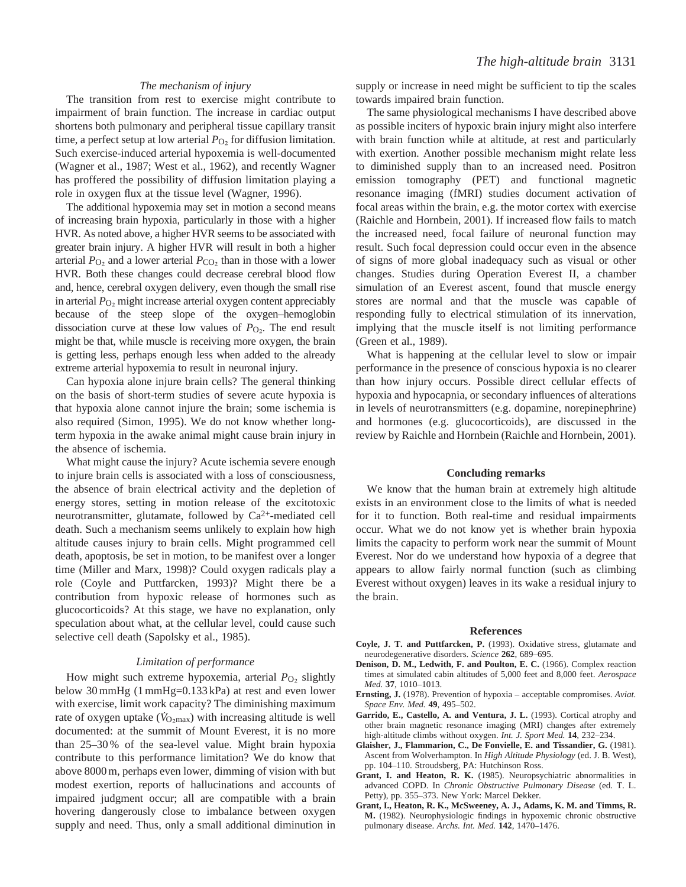# *The mechanism of injury*

The transition from rest to exercise might contribute to impairment of brain function. The increase in cardiac output shortens both pulmonary and peripheral tissue capillary transit time, a perfect setup at low arterial  $P<sub>O<sub>2</sub></sub>$  for diffusion limitation. Such exercise-induced arterial hypoxemia is well-documented (Wagner et al., 1987; West et al., 1962), and recently Wagner has proffered the possibility of diffusion limitation playing a role in oxygen flux at the tissue level (Wagner, 1996).

The additional hypoxemia may set in motion a second means of increasing brain hypoxia, particularly in those with a higher HVR. As noted above, a higher HVR seems to be associated with greater brain injury. A higher HVR will result in both a higher arterial  $P_{\text{O}_2}$  and a lower arterial  $P_{\text{CO}_2}$  than in those with a lower HVR. Both these changes could decrease cerebral blood flow and, hence, cerebral oxygen delivery, even though the small rise in arterial *P*O∑ might increase arterial oxygen content appreciably because of the steep slope of the oxygen–hemoglobin dissociation curve at these low values of  $P_{\text{O}_2}$ . The end result might be that, while muscle is receiving more oxygen, the brain is getting less, perhaps enough less when added to the already extreme arterial hypoxemia to result in neuronal injury.

Can hypoxia alone injure brain cells? The general thinking on the basis of short-term studies of severe acute hypoxia is that hypoxia alone cannot injure the brain; some ischemia is also required (Simon, 1995). We do not know whether longterm hypoxia in the awake animal might cause brain injury in the absence of ischemia.

What might cause the injury? Acute ischemia severe enough to injure brain cells is associated with a loss of consciousness, the absence of brain electrical activity and the depletion of energy stores, setting in motion release of the excitotoxic neurotransmitter, glutamate, followed by Ca2+-mediated cell death. Such a mechanism seems unlikely to explain how high altitude causes injury to brain cells. Might programmed cell death, apoptosis, be set in motion, to be manifest over a longer time (Miller and Marx, 1998)? Could oxygen radicals play a role (Coyle and Puttfarcken, 1993)? Might there be a contribution from hypoxic release of hormones such as glucocorticoids? At this stage, we have no explanation, only speculation about what, at the cellular level, could cause such selective cell death (Sapolsky et al., 1985).

#### *Limitation of performance*

How might such extreme hypoxemia, arterial *P*<sub>O2</sub> slightly below 30 mmHg (1 mmHg=0.133 kPa) at rest and even lower with exercise, limit work capacity? The diminishing maximum rate of oxygen uptake  $(\dot{V}_{\rm O2max})$  with increasing altitude is well documented: at the summit of Mount Everest, it is no more than 25–30 % of the sea-level value. Might brain hypoxia contribute to this performance limitation? We do know that above 8000 m, perhaps even lower, dimming of vision with but modest exertion, reports of hallucinations and accounts of impaired judgment occur; all are compatible with a brain hovering dangerously close to imbalance between oxygen supply and need. Thus, only a small additional diminution in supply or increase in need might be sufficient to tip the scales towards impaired brain function.

The same physiological mechanisms I have described above as possible inciters of hypoxic brain injury might also interfere with brain function while at altitude, at rest and particularly with exertion. Another possible mechanism might relate less to diminished supply than to an increased need. Positron emission tomography (PET) and functional magnetic resonance imaging (fMRI) studies document activation of focal areas within the brain, e.g. the motor cortex with exercise (Raichle and Hornbein, 2001). If increased flow fails to match the increased need, focal failure of neuronal function may result. Such focal depression could occur even in the absence of signs of more global inadequacy such as visual or other changes. Studies during Operation Everest II, a chamber simulation of an Everest ascent, found that muscle energy stores are normal and that the muscle was capable of responding fully to electrical stimulation of its innervation, implying that the muscle itself is not limiting performance (Green et al., 1989).

What is happening at the cellular level to slow or impair performance in the presence of conscious hypoxia is no clearer than how injury occurs. Possible direct cellular effects of hypoxia and hypocapnia, or secondary influences of alterations in levels of neurotransmitters (e.g. dopamine, norepinephrine) and hormones (e.g. glucocorticoids), are discussed in the review by Raichle and Hornbein (Raichle and Hornbein, 2001).

#### **Concluding remarks**

We know that the human brain at extremely high altitude exists in an environment close to the limits of what is needed for it to function. Both real-time and residual impairments occur. What we do not know yet is whether brain hypoxia limits the capacity to perform work near the summit of Mount Everest. Nor do we understand how hypoxia of a degree that appears to allow fairly normal function (such as climbing Everest without oxygen) leaves in its wake a residual injury to the brain.

#### **References**

- **Coyle, J. T. and Puttfarcken, P.** (1993). Oxidative stress, glutamate and neurodegenerative disorders. *Science* **262**, 689–695.
- **Denison, D. M., Ledwith, F. and Poulton, E. C.** (1966). Complex reaction times at simulated cabin altitudes of 5,000 feet and 8,000 feet. *Aerospace Med.* **37**, 1010–1013.
- **Ernsting, J.** (1978). Prevention of hypoxia acceptable compromises. *Aviat. Space Env. Med.* **49**, 495–502.
- **Garrido, E., Castello, A. and Ventura, J. L.** (1993). Cortical atrophy and other brain magnetic resonance imaging (MRI) changes after extremely high-altitude climbs without oxygen. *Int. J. Sport Med.* **14**, 232–234.
- **Glaisher, J., Flammarion, C., De Fonvielle, E. and Tissandier, G.** (1981). Ascent from Wolverhampton. In *High Altitude Physiology* (ed. J. B. West), pp. 104–110. Stroudsberg, PA: Hutchinson Ross.
- **Grant, I. and Heaton, R. K.** (1985). Neuropsychiatric abnormalities in advanced COPD. In *Chronic Obstructive Pulmonary Disease* (ed. T. L. Petty), pp. 355–373. New York: Marcel Dekker.
- **Grant, I., Heaton, R. K., McSweeney, A. J., Adams, K. M. and Timms, R. M.** (1982). Neurophysiologic findings in hypoxemic chronic obstructive pulmonary disease. *Archs. Int. Med.* **142**, 1470–1476.